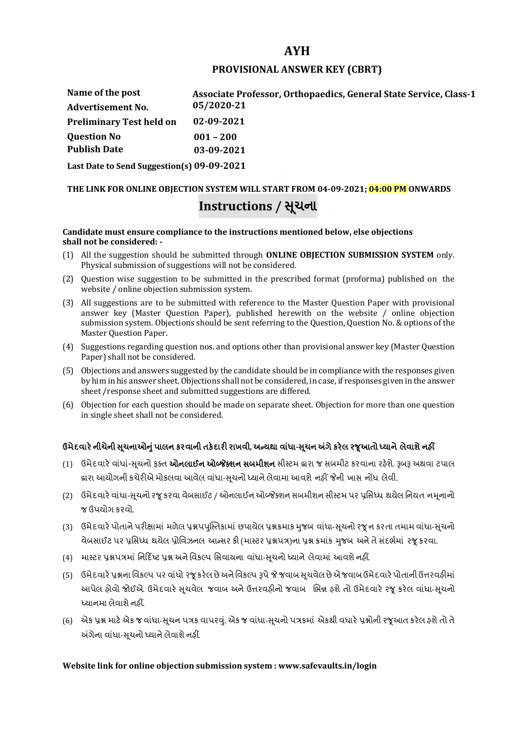# **AYH**

### **PROVISIONAL ANSWER KEY (CBRT)**

| Name of the post                | Associate Professor, Orthopaedics, General State Service, Class-1 |
|---------------------------------|-------------------------------------------------------------------|
| <b>Advertisement No.</b>        | 05/2020-21                                                        |
| <b>Preliminary Test held on</b> | 02-09-2021                                                        |
| <b>Question No</b>              | $001 - 200$                                                       |
| <b>Publish Date</b>             | 03-09-2021                                                        |
|                                 |                                                                   |

**Last Date to Send Suggestion(s) 09-09-2021**

# **THE LINK FOR ONLINE OBJECTION SYSTEM WILL START FROM 04-09-2021; 04:00 PM ONWARDS Instructions / Ʌચના ૂ**

#### **Candidate must ensure compliance to the instructions mentioned below, else objections shall not be considered: -**

- (1) All the suggestion should be submitted through **ONLINE OBJECTION SUBMISSION SYSTEM** only. Physical submission of suggestions will not be considered.
- (2) Question wise suggestion to be submitted in the prescribed format (proforma) published on the website / online objection submission system.
- (3) All suggestions are to be submitted with reference to the Master Question Paper with provisional answer key (Master Question Paper), published herewith on the website / online objection submission system. Objections should be sent referring to the Question, Question No. & options of the Master Question Paper.
- (4) Suggestions regarding question nos. and options other than provisional answer key (Master Question Paper) shall not be considered.
- (5) Objections and answers suggested by the candidate should be in compliance with the responses given by him in his answer sheet. Objections shall not be considered, in case, if responses given in the answer sheet /response sheet and submitted suggestions are differed.
- (6) Objection for each question should be made on separate sheet. Objection for more than one question in single sheet shall not be considered.

# **ઉમેદવાર°નીચેની Ʌ ૂચનાઓȵુંપાલન કરવાની તક°દાર રાખવી, અƛયથા વા ંધા-Ʌ ૂચન Ӕગેકર°લ રȩૂઆતો ƚયાને લેવાશેનહӄ**

- (1) ઉમેદવારે વાંધાં-સુચનો ફક્ત **ઓનલાઈન ઓબ્જેક્શન સબમીશન** સીસ્ટમ હ્રારા જ સબમીટ કરવાના રહેશે. રૂબરૂ અથવા ટપાલ હ્રારા આયોગની કચેરીએ મોકલવા આવેલ વાંધા-સૂચનો ધ્યાને લેવામા આવશે નહીં જેની ખાસ નોંધ લેવી.
- (2) ઉમેદવારે વાંધા-સચનો રજ કરવા વેબસાઈટ / ઓનલાઈન ઓબ્જેક્શન સબમીશન સીસ્ટમ પર પ્રસિધ્ધ થયેલ નિયત નમનાનો જ ઉપયોગ કરવો.
- (3) ઉમેદવારે પોતાને પરીક્ષામાં મળેલ પ્રશ્નપપુસ્તિકામાં છપાયેલ પ્રશ્નક્રમાક મુજબ વાંધા-સૂચનો રજૂન કરતા તમામ વાંધા-સૂચનો વેબસાઈટ પર પ્રસિધ્ધ થયેલ પ્રોવિઝનલ આન્સર કી (માસ્ટર પ્રશ્નપત્ર)ના પ્રશ્ન ક્રમાંક મજબ અને તે સંદર્ભમાં ૨જ કરવા.
- (4) માસ્ટર પ્રશ્નપત્રમાં નિર્દિષ્ટ પ્રશ્ન અને વિકલ્પ સિવાયના વાંધા-સચનો ધ્યાને લેવામાં આવશે નહીં.
- (5) ઉમેદવારે પ્રશ્નના વિકલ્પ પર વાંધો રજૂ કરેલ છે અને વિકલ્પ રૂપે જે જવાબ સુચવેલ છે એ જવાબ ઉમેદવારે પોતાની ઉત્તરવહીમાં આપેલ હોવો જોઈએ. ઉમેદવારે સૂચવેલ જવાબ અને ઉત્તરવહીનો જવાબ ભિન્ન હશે તો ઉમેદવારે રજૂ કરેલ વાંધા-સૂચનો ધ્યાનમા લેવાશે નહીં.
- (6) એક પ્રશ્ન માટે એક જ વાંધા-સૂચન પત્રક વાપરવું. એક જ વાંધા-સૂચનો પત્રકમાં એકથી વધારે પ્રશ્નોની રજૂઆત કરેલ હશે તો તે અંગેના વાંધા-સુચનો ધ્યાને લેવાશે નહીં.

# **Website link for online objection submission system : www.safevaults.in/login**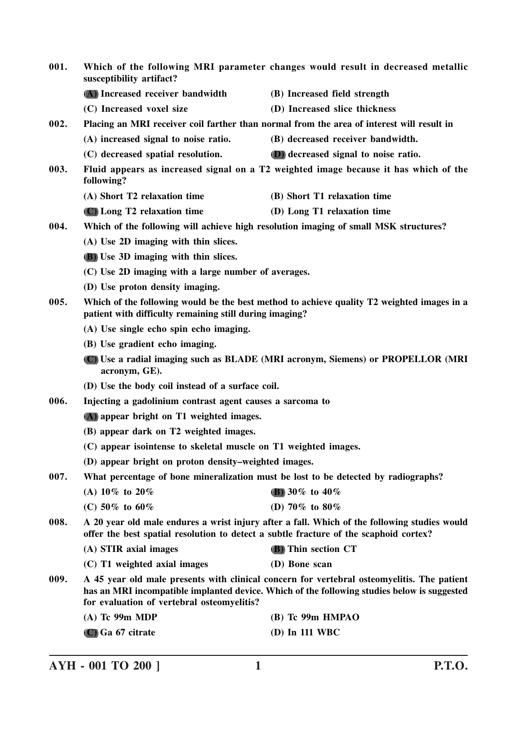| 001. | Which of the following MRI parameter changes would result in decreased metallic<br>susceptibility artifact?                                                                           |                                                                                                                                                                                           |
|------|---------------------------------------------------------------------------------------------------------------------------------------------------------------------------------------|-------------------------------------------------------------------------------------------------------------------------------------------------------------------------------------------|
|      | (A) Increased receiver bandwidth                                                                                                                                                      | (B) Increased field strength                                                                                                                                                              |
|      | (C) Increased voxel size                                                                                                                                                              | (D) Increased slice thickness                                                                                                                                                             |
| 002. |                                                                                                                                                                                       | Placing an MRI receiver coil farther than normal from the area of interest will result in                                                                                                 |
|      | (A) increased signal to noise ratio.                                                                                                                                                  | (B) decreased receiver bandwidth.                                                                                                                                                         |
|      | (C) decreased spatial resolution.                                                                                                                                                     | (D) decreased signal to noise ratio.                                                                                                                                                      |
| 003. | following?                                                                                                                                                                            | Fluid appears as increased signal on a T2 weighted image because it has which of the                                                                                                      |
|      | (A) Short T2 relaxation time                                                                                                                                                          | (B) Short T1 relaxation time                                                                                                                                                              |
|      | (C) Long T2 relaxation time                                                                                                                                                           | (D) Long T1 relaxation time                                                                                                                                                               |
| 004. | Which of the following will achieve high resolution imaging of small MSK structures?                                                                                                  |                                                                                                                                                                                           |
|      | (A) Use 2D imaging with thin slices.                                                                                                                                                  |                                                                                                                                                                                           |
|      | <b>(B)</b> Use 3D imaging with thin slices.                                                                                                                                           |                                                                                                                                                                                           |
|      | (C) Use 2D imaging with a large number of averages.                                                                                                                                   |                                                                                                                                                                                           |
|      | (D) Use proton density imaging.                                                                                                                                                       |                                                                                                                                                                                           |
| 005. | patient with difficulty remaining still during imaging?                                                                                                                               | Which of the following would be the best method to achieve quality T2 weighted images in a                                                                                                |
|      | (A) Use single echo spin echo imaging.                                                                                                                                                |                                                                                                                                                                                           |
|      | (B) Use gradient echo imaging.                                                                                                                                                        |                                                                                                                                                                                           |
|      | acronym, GE).                                                                                                                                                                         | (C) Use a radial imaging such as BLADE (MRI acronym, Siemens) or PROPELLOR (MRI                                                                                                           |
|      | (D) Use the body coil instead of a surface coil.                                                                                                                                      |                                                                                                                                                                                           |
| 006. | Injecting a gadolinium contrast agent causes a sarcoma to                                                                                                                             |                                                                                                                                                                                           |
|      | (A) appear bright on T1 weighted images.<br>(B) appear dark on T2 weighted images.                                                                                                    |                                                                                                                                                                                           |
|      |                                                                                                                                                                                       |                                                                                                                                                                                           |
|      | (C) appear isointense to skeletal muscle on T1 weighted images.                                                                                                                       |                                                                                                                                                                                           |
|      | (D) appear bright on proton density–weighted images.                                                                                                                                  |                                                                                                                                                                                           |
| 007. | What percentage of bone mineralization must be lost to be detected by radiographs?                                                                                                    |                                                                                                                                                                                           |
|      | (A) 10\% to 20\%                                                                                                                                                                      | (B) 30\% to 40\%                                                                                                                                                                          |
|      | (C) 50% to 60%                                                                                                                                                                        | (D) 70% to 80%                                                                                                                                                                            |
| 008. | A 20 year old male endures a wrist injury after a fall. Which of the following studies would<br>offer the best spatial resolution to detect a subtle fracture of the scaphoid cortex? |                                                                                                                                                                                           |
|      | (A) STIR axial images                                                                                                                                                                 | (B) Thin section CT                                                                                                                                                                       |
|      | (C) T1 weighted axial images                                                                                                                                                          | (D) Bone scan                                                                                                                                                                             |
| 009. | for evaluation of vertebral osteomyelitis?                                                                                                                                            | A 45 year old male presents with clinical concern for vertebral osteomyelitis. The patient<br>has an MRI incompatible implanted device. Which of the following studies below is suggested |
|      | $(A)$ Tc 99m MDP                                                                                                                                                                      | (B) Tc 99m HMPAO                                                                                                                                                                          |
|      | (C) Ga 67 citrate                                                                                                                                                                     | (D) In 111 WBC                                                                                                                                                                            |

**AYH - 001 TO 200 ] 1 P.T.O.**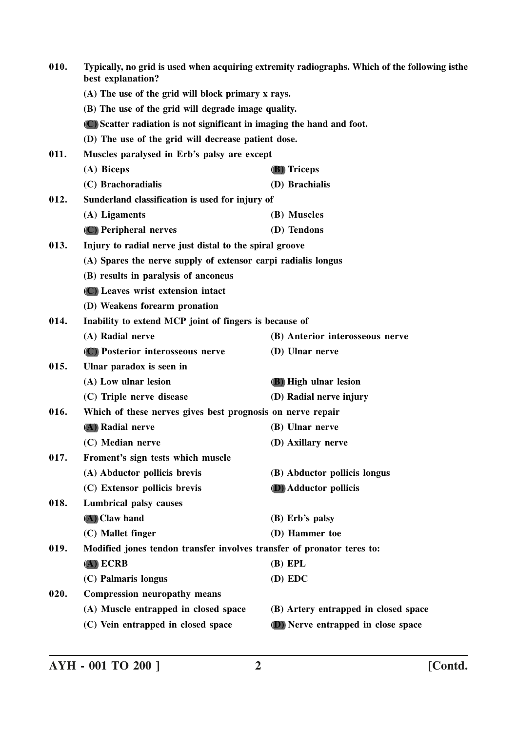| 010. | best explanation?                                                      | Typically, no grid is used when acquiring extremity radiographs. Which of the following isthe |  |
|------|------------------------------------------------------------------------|-----------------------------------------------------------------------------------------------|--|
|      | (A) The use of the grid will block primary x rays.                     |                                                                                               |  |
|      | (B) The use of the grid will degrade image quality.                    |                                                                                               |  |
|      | (C) Scatter radiation is not significant in imaging the hand and foot. |                                                                                               |  |
|      | (D) The use of the grid will decrease patient dose.                    |                                                                                               |  |
| 011. | Muscles paralysed in Erb's palsy are except                            |                                                                                               |  |
|      | (A) Biceps                                                             | (B) Triceps                                                                                   |  |
|      | (C) Brachoradialis                                                     | (D) Brachialis                                                                                |  |
| 012. | Sunderland classification is used for injury of                        |                                                                                               |  |
|      | (A) Ligaments                                                          | (B) Muscles                                                                                   |  |
|      | (C) Peripheral nerves                                                  | (D) Tendons                                                                                   |  |
| 013. | Injury to radial nerve just distal to the spiral groove                |                                                                                               |  |
|      | (A) Spares the nerve supply of extensor carpi radialis longus          |                                                                                               |  |
|      | (B) results in paralysis of anconeus                                   |                                                                                               |  |
|      | (C) Leaves wrist extension intact                                      |                                                                                               |  |
|      | (D) Weakens forearm pronation                                          |                                                                                               |  |
| 014. | Inability to extend MCP joint of fingers is because of                 |                                                                                               |  |
|      | (A) Radial nerve                                                       | (B) Anterior interosseous nerve                                                               |  |
|      | (C) Posterior interosseous nerve                                       | (D) Ulnar nerve                                                                               |  |
| 015. | Ulnar paradox is seen in                                               |                                                                                               |  |
|      | (A) Low ulnar lesion                                                   | (B) High ulnar lesion                                                                         |  |
|      | (C) Triple nerve disease                                               | (D) Radial nerve injury                                                                       |  |
| 016. | Which of these nerves gives best prognosis on nerve repair             |                                                                                               |  |
|      | (A) Radial nerve                                                       | (B) Ulnar nerve                                                                               |  |
|      | (C) Median nerve                                                       | (D) Axillary nerve                                                                            |  |
| 017. | Froment's sign tests which muscle                                      |                                                                                               |  |
|      | (A) Abductor pollicis brevis                                           | (B) Abductor pollicis longus                                                                  |  |
|      | (C) Extensor pollicis brevis                                           | <b>(D)</b> Adductor pollicis                                                                  |  |
| 018. | <b>Lumbrical palsy causes</b>                                          |                                                                                               |  |
|      | (A) Claw hand                                                          | $(B)$ Erb's palsy                                                                             |  |
|      | (C) Mallet finger                                                      | (D) Hammer toe                                                                                |  |
| 019. | Modified jones tendon transfer involves transfer of pronator teres to: |                                                                                               |  |
|      | $(A)$ ECRB                                                             | $(B)$ EPL                                                                                     |  |
|      | (C) Palmaris longus                                                    | (D) EDC                                                                                       |  |
| 020. | <b>Compression neuropathy means</b>                                    |                                                                                               |  |
|      | (A) Muscle entrapped in closed space                                   | (B) Artery entrapped in closed space                                                          |  |
|      | (C) Vein entrapped in closed space                                     | (D) Nerve entrapped in close space                                                            |  |
|      |                                                                        |                                                                                               |  |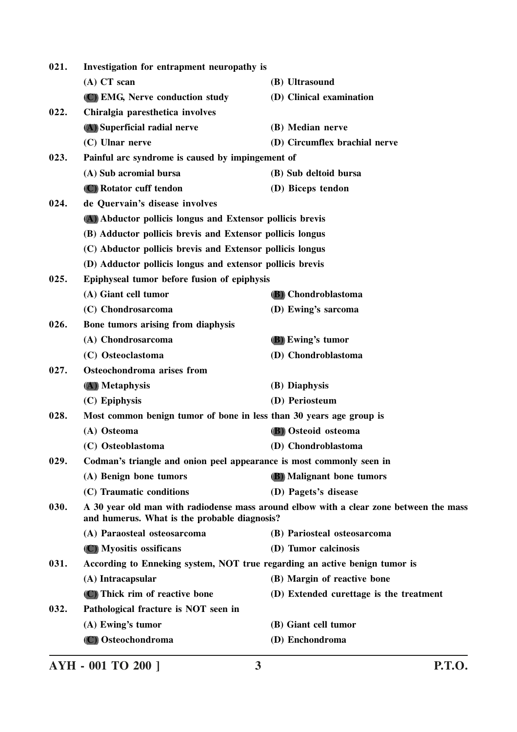| 021.                                                                                                                                           | Investigation for entrapment neuropathy is                                 |                                         |  |
|------------------------------------------------------------------------------------------------------------------------------------------------|----------------------------------------------------------------------------|-----------------------------------------|--|
|                                                                                                                                                | $(A)$ CT scan                                                              | (B) Ultrasound                          |  |
|                                                                                                                                                | (C) EMG, Nerve conduction study                                            | (D) Clinical examination                |  |
| 022.                                                                                                                                           | Chiralgia paresthetica involves                                            |                                         |  |
|                                                                                                                                                | (A) Superficial radial nerve                                               | (B) Median nerve                        |  |
|                                                                                                                                                | (C) Ulnar nerve                                                            | (D) Circumflex brachial nerve           |  |
| 023.                                                                                                                                           | Painful arc syndrome is caused by impingement of                           |                                         |  |
|                                                                                                                                                | (A) Sub acromial bursa                                                     | (B) Sub deltoid bursa                   |  |
|                                                                                                                                                | (C) Rotator cuff tendon                                                    | (D) Biceps tendon                       |  |
| 024.                                                                                                                                           | de Quervain's disease involves                                             |                                         |  |
|                                                                                                                                                | (A) Abductor pollicis longus and Extensor pollicis brevis                  |                                         |  |
|                                                                                                                                                | (B) Adductor pollicis brevis and Extensor pollicis longus                  |                                         |  |
|                                                                                                                                                | (C) Abductor pollicis brevis and Extensor pollicis longus                  |                                         |  |
|                                                                                                                                                | (D) Adductor pollicis longus and extensor pollicis brevis                  |                                         |  |
| 025.                                                                                                                                           | Epiphyseal tumor before fusion of epiphysis                                |                                         |  |
|                                                                                                                                                | (A) Giant cell tumor                                                       | (B) Chondroblastoma                     |  |
|                                                                                                                                                | (C) Chondrosarcoma                                                         | (D) Ewing's sarcoma                     |  |
| 026.                                                                                                                                           | Bone tumors arising from diaphysis                                         |                                         |  |
|                                                                                                                                                | (A) Chondrosarcoma                                                         | (B) Ewing's tumor                       |  |
|                                                                                                                                                | (C) Osteoclastoma                                                          | (D) Chondroblastoma                     |  |
| 027.                                                                                                                                           | Osteochondroma arises from                                                 |                                         |  |
|                                                                                                                                                | (A) Metaphysis                                                             | (B) Diaphysis                           |  |
|                                                                                                                                                | (C) Epiphysis                                                              | (D) Periosteum                          |  |
| 028.                                                                                                                                           | Most common benign tumor of bone in less than 30 years age group is        |                                         |  |
|                                                                                                                                                | (A) Osteoma                                                                | (B) Osteoid osteoma                     |  |
|                                                                                                                                                | (C) Osteoblastoma                                                          | (D) Chondroblastoma                     |  |
| 029.                                                                                                                                           | Codman's triangle and onion peel appearance is most commonly seen in       |                                         |  |
|                                                                                                                                                | (A) Benign bone tumors                                                     | (B) Malignant bone tumors               |  |
|                                                                                                                                                | (C) Traumatic conditions                                                   | (D) Pagets's disease                    |  |
| 030.<br>A 30 year old man with radiodense mass around elbow with a clear zone between the mass<br>and humerus. What is the probable diagnosis? |                                                                            |                                         |  |
|                                                                                                                                                | (A) Paraosteal osteosarcoma                                                | (B) Pariosteal osteosarcoma             |  |
|                                                                                                                                                | (C) Myositis ossificans                                                    | (D) Tumor calcinosis                    |  |
| 031.                                                                                                                                           | According to Enneking system, NOT true regarding an active benign tumor is |                                         |  |
|                                                                                                                                                | (A) Intracapsular                                                          | (B) Margin of reactive bone             |  |
|                                                                                                                                                | (C) Thick rim of reactive bone                                             | (D) Extended curettage is the treatment |  |
| 032.                                                                                                                                           | Pathological fracture is NOT seen in                                       |                                         |  |
|                                                                                                                                                | (A) Ewing's tumor                                                          | (B) Giant cell tumor                    |  |
|                                                                                                                                                | (C) Osteochondroma                                                         | (D) Enchondroma                         |  |
|                                                                                                                                                |                                                                            |                                         |  |

**AYH - 001 TO 200 ] 3 P.T.O.**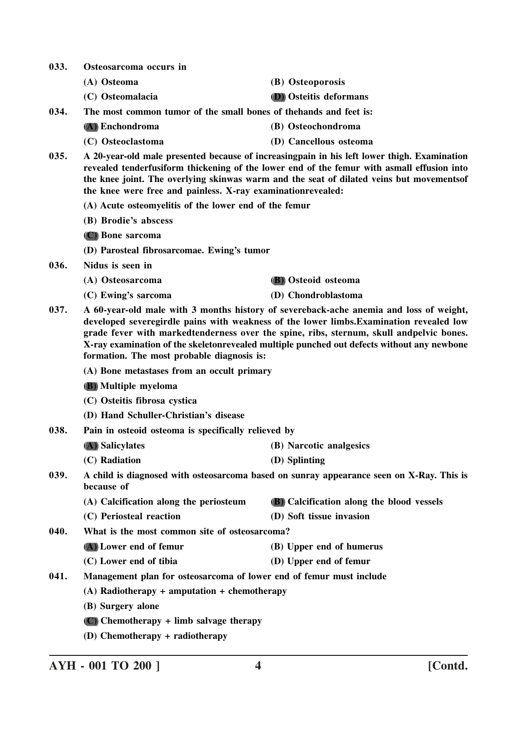**033. Osteosarcoma occurs in**

**(A) Osteoma (B) Osteoporosis**

**(C) Osteomalacia (D) Osteitis deformans**

**034. The most common tumor of the small bones of thehands and feet is:**

- **(A) Enchondroma (B) Osteochondroma**
- **(C) Osteoclastoma (D) Cancellous osteoma**
- **035. A 20-year-old male presented because of increasingpain in his left lower thigh. Examination revealed tenderfusiform thickening of the lower end of the femur with asmall effusion into the knee joint. The overlying skinwas warm and the seat of dilated veins but movementsof the knee were free and painless. X-ray examinationrevealed:**
	- **(A) Acute osteomyelitis of the lower end of the femur**
	- **(B) Brodie's abscess**
	- **(C) Bone sarcoma**

**(D) Parosteal fibrosarcomae. Ewing's tumor**

- **036. Nidus is seen in**
	- **(A) Osteosarcoma (B) Osteoid osteoma**
	- **(C) Ewing's sarcoma (D) Chondroblastoma**

- **037. A 60-year-old male with 3 months history of severeback-ache anemia and loss of weight, developed severegirdle pains with weakness of the lower limbs.Examination revealed low grade fever with markedtenderness over the spine, ribs, sternum, skull andpelvic bones. X-ray examination of the skeletonrevealed multiple punched out defects without any newbone formation. The most probable diagnosis is:**
	- **(A) Bone metastases from an occult primary**
	- **(B) Multiple myeloma**
	- **(C) Osteitis fibrosa cystica**
	- **(D) Hand Schuller-Christian's disease**
- **038. Pain in osteoid osteoma is specifically relieved by**

| (A) Salicylates | (B) Narcotic analgesics                                              |
|-----------------|----------------------------------------------------------------------|
|                 | $(\mathbf{D} \setminus \mathbf{C} \mathbf{I} \mathbf{E} \mathbf{I})$ |

- **(C) Radiation (D) Splinting**
- **039. A child is diagnosed with osteosarcoma based on sunray appearance seen on X-Ray. This is because of**
	- **(A) Calcification along the periosteum (B) Calcification along the blood vessels**
	- **(C) Periosteal reaction (D) Soft tissue invasion**

**040. What is the most common site of osteosarcoma?**

- **(A) Lower end of femur (B) Upper end of humerus**
- **(C) Lower end of tibia (D) Upper end of femur**

**041. Management plan for osteosarcoma of lower end of femur must include**

- **(A) Radiotherapy + amputation + chemotherapy**
- **(B) Surgery alone**
- **(C) Chemotherapy + limb salvage therapy**
- **(D) Chemotherapy + radiotherapy**

**AYH - 001 TO 200 ] 4 [Contd.**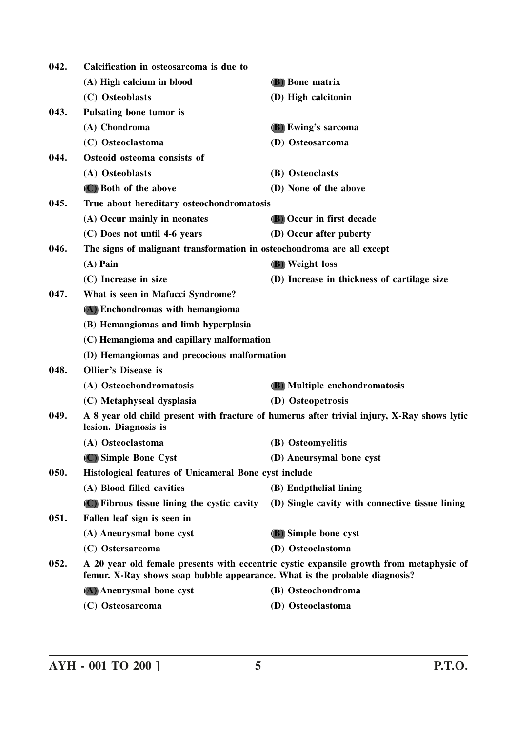| 042. | Calcification in osteosarcoma is due to                                    |                                                                                             |
|------|----------------------------------------------------------------------------|---------------------------------------------------------------------------------------------|
|      | (A) High calcium in blood                                                  | <b>(B)</b> Bone matrix                                                                      |
|      | (C) Osteoblasts                                                            | (D) High calcitonin                                                                         |
| 043. | Pulsating bone tumor is                                                    |                                                                                             |
|      | (A) Chondroma                                                              | (B) Ewing's sarcoma                                                                         |
|      | (C) Osteoclastoma                                                          | (D) Osteosarcoma                                                                            |
| 044. | Osteoid osteoma consists of                                                |                                                                                             |
|      | (A) Osteoblasts                                                            | (B) Osteoclasts                                                                             |
|      | (C) Both of the above                                                      | (D) None of the above                                                                       |
| 045. | True about hereditary osteochondromatosis                                  |                                                                                             |
|      | (A) Occur mainly in neonates                                               | <b>(B)</b> Occur in first decade                                                            |
|      | (C) Does not until 4-6 years                                               | (D) Occur after puberty                                                                     |
| 046. | The signs of malignant transformation in osteochondroma are all except     |                                                                                             |
|      | $(A)$ Pain                                                                 | (B) Weight loss                                                                             |
|      | (C) Increase in size                                                       | (D) Increase in thickness of cartilage size                                                 |
| 047. | What is seen in Mafucci Syndrome?                                          |                                                                                             |
|      | (A) Enchondromas with hemangioma                                           |                                                                                             |
|      | (B) Hemangiomas and limb hyperplasia                                       |                                                                                             |
|      | (C) Hemangioma and capillary malformation                                  |                                                                                             |
|      | (D) Hemangiomas and precocious malformation                                |                                                                                             |
| 048. | <b>Ollier's Disease is</b>                                                 |                                                                                             |
|      | (A) Osteochondromatosis                                                    | (B) Multiple enchondromatosis                                                               |
|      | (C) Metaphyseal dysplasia                                                  | (D) Osteopetrosis                                                                           |
| 049. | lesion. Diagnosis is                                                       | A 8 year old child present with fracture of humerus after trivial injury, X-Ray shows lytic |
|      | (A) Osteoclastoma                                                          | (B) Osteomyelitis                                                                           |
|      | (C) Simple Bone Cyst                                                       | (D) Aneursymal bone cyst                                                                    |
| 050. | Histological features of Unicameral Bone cyst include                      |                                                                                             |
|      | (A) Blood filled cavities                                                  | (B) Endpthelial lining                                                                      |
|      | (C) Fibrous tissue lining the cystic cavity                                | (D) Single cavity with connective tissue lining                                             |
| 051. | Fallen leaf sign is seen in                                                |                                                                                             |
|      | (A) Aneurysmal bone cyst                                                   | (B) Simple bone cyst                                                                        |
|      | (C) Ostersarcoma                                                           | (D) Osteoclastoma                                                                           |
| 052. | femur. X-Ray shows soap bubble appearance. What is the probable diagnosis? | A 20 year old female presents with eccentric cystic expansile growth from metaphysic of     |
|      | (A) Aneurysmal bone cyst                                                   | (B) Osteochondroma                                                                          |
|      | (C) Osteosarcoma                                                           | (D) Osteoclastoma                                                                           |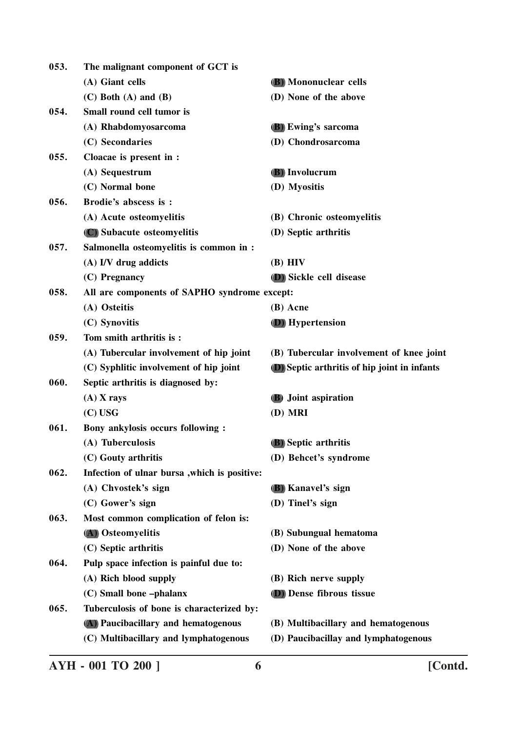| 053. | The malignant component of GCT is             |                                                     |
|------|-----------------------------------------------|-----------------------------------------------------|
|      | (A) Giant cells                               | (B) Mononuclear cells                               |
|      | $(C)$ Both $(A)$ and $(B)$                    | (D) None of the above                               |
| 054. | Small round cell tumor is                     |                                                     |
|      | (A) Rhabdomyosarcoma                          | (B) Ewing's sarcoma                                 |
|      | (C) Secondaries                               | (D) Chondrosarcoma                                  |
| 055. | Cloacae is present in :                       |                                                     |
|      | (A) Sequestrum                                | (B) Involucrum                                      |
|      | (C) Normal bone                               | (D) Myositis                                        |
| 056. | Brodie's abscess is:                          |                                                     |
|      | (A) Acute osteomyelitis                       | (B) Chronic osteomyelitis                           |
|      | (C) Subacute osteomyelitis                    | (D) Septic arthritis                                |
| 057. | Salmonella osteomyelitis is common in :       |                                                     |
|      | (A) I/V drug addicts                          | $(B)$ HIV                                           |
|      | (C) Pregnancy                                 | (D) Sickle cell disease                             |
| 058. | All are components of SAPHO syndrome except:  |                                                     |
|      | (A) Osteitis                                  | (B) Acne                                            |
|      | (C) Synovitis                                 | (D) Hypertension                                    |
| 059. | Tom smith arthritis is:                       |                                                     |
|      | (A) Tubercular involvement of hip joint       | (B) Tubercular involvement of knee joint            |
|      | (C) Syphlitic involvement of hip joint        | <b>D</b> ) Septic arthritis of hip joint in infants |
| 060. | Septic arthritis is diagnosed by:             |                                                     |
|      | $(A)$ X rays                                  | (B) Joint aspiration                                |
|      | $(C)$ USG                                     | (D) MRI                                             |
| 061. | Bony ankylosis occurs following:              |                                                     |
|      | (A) Tuberculosis                              | <b>(B)</b> Septic arthritis                         |
|      | (C) Gouty arthritis                           | (D) Behcet's syndrome                               |
| 062. | Infection of ulnar bursa , which is positive: |                                                     |
|      | (A) Chvostek's sign                           | (B) Kanavel's sign                                  |
|      | (C) Gower's sign                              | (D) Tinel's sign                                    |
| 063. | Most common complication of felon is:         |                                                     |
|      | (A) Osteomyelitis                             | (B) Subungual hematoma                              |
|      | (C) Septic arthritis                          | (D) None of the above                               |
| 064. | Pulp space infection is painful due to:       |                                                     |
|      | (A) Rich blood supply                         | (B) Rich nerve supply                               |
|      | (C) Small bone -phalanx                       | (D) Dense fibrous tissue                            |
| 065. | Tuberculosis of bone is characterized by:     |                                                     |
|      | (A) Paucibacillary and hematogenous           | (B) Multibacillary and hematogenous                 |
|      | (C) Multibacillary and lymphatogenous         | (D) Paucibacillay and lymphatogenous                |
|      |                                               |                                                     |

**AYH - 001 TO 200 ] 6 [Contd.**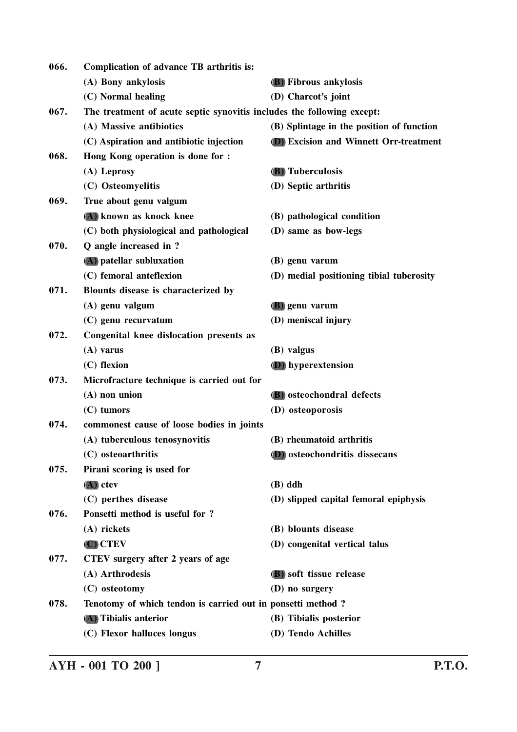| 066. | Complication of advance TB arthritis is:                               |                                               |
|------|------------------------------------------------------------------------|-----------------------------------------------|
|      | (A) Bony ankylosis                                                     | <b>(B)</b> Fibrous ankylosis                  |
|      | (C) Normal healing                                                     | (D) Charcot's joint                           |
| 067. | The treatment of acute septic synovitis includes the following except: |                                               |
|      | (A) Massive antibiotics                                                | (B) Splintage in the position of function     |
|      | (C) Aspiration and antibiotic injection                                | <b>D</b> ) Excision and Winnett Orr-treatment |
| 068. | Hong Kong operation is done for :                                      |                                               |
|      | (A) Leprosy                                                            | <b>(B)</b> Tuberculosis                       |
|      | (C) Osteomyelitis                                                      | (D) Septic arthritis                          |
| 069. | True about genu valgum                                                 |                                               |
|      | (A) known as knock knee                                                | (B) pathological condition                    |
|      | (C) both physiological and pathological                                | (D) same as bow-legs                          |
| 070. | Q angle increased in ?                                                 |                                               |
|      | (A) patellar subluxation                                               | (B) genu varum                                |
|      | (C) femoral anteflexion                                                | (D) medial positioning tibial tuberosity      |
| 071. | Blounts disease is characterized by                                    |                                               |
|      | (A) genu valgum                                                        | <b>(B)</b> genu varum                         |
|      | (C) genu recurvatum                                                    | (D) meniscal injury                           |
| 072. | Congenital knee dislocation presents as                                |                                               |
|      | $(A)$ varus                                                            | (B) valgus                                    |
|      | (C) flexion                                                            | (D) hyperextension                            |
| 073. | Microfracture technique is carried out for                             |                                               |
|      | $(A)$ non union                                                        | (B) osteochondral defects                     |
|      | (C) tumors                                                             | (D) osteoporosis                              |
| 074. | commonest cause of loose bodies in joints                              |                                               |
|      | (A) tuberculous tenosynovitis                                          | (B) rheumatoid arthritis                      |
|      | (C) osteoarthritis                                                     | (D) osteochondritis dissecans                 |
| 075. | Pirani scoring is used for                                             |                                               |
|      | $(A)$ ctev                                                             | $(B)$ ddh                                     |
|      | (C) perthes disease                                                    | (D) slipped capital femoral epiphysis         |
| 076. | Ponsetti method is useful for ?                                        |                                               |
|      | (A) rickets                                                            | (B) blounts disease                           |
|      | $(C)$ CTEV                                                             | (D) congenital vertical talus                 |
| 077. | CTEV surgery after 2 years of age                                      |                                               |
|      | (A) Arthrodesis                                                        | (B) soft tissue release                       |
|      | (C) osteotomy                                                          | (D) no surgery                                |
| 078. | Tenotomy of which tendon is carried out in ponsetti method ?           |                                               |
|      | (A) Tibialis anterior                                                  | (B) Tibialis posterior                        |
|      | (C) Flexor halluces longus                                             | (D) Tendo Achilles                            |

**AYH - 001 TO 200 ] 7 P.T.O.**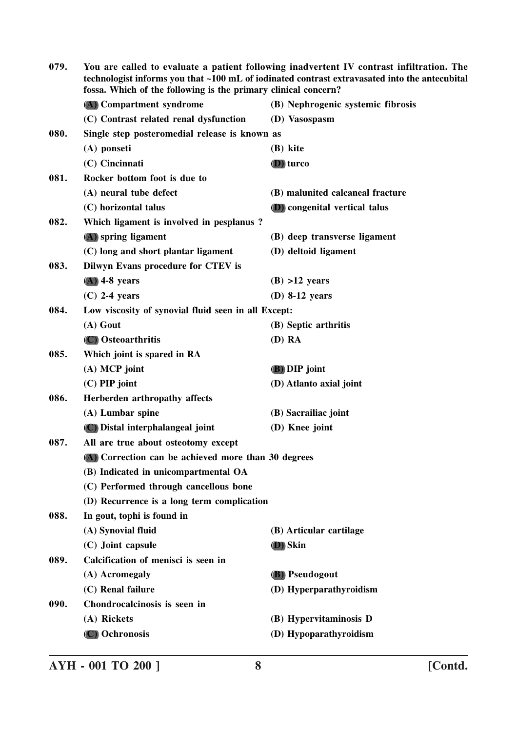| 079. | You are called to evaluate a patient following inadvertent IV contrast infiltration. The<br>technologist informs you that ~100 mL of iodinated contrast extravasated into the antecubital<br>fossa. Which of the following is the primary clinical concern? |                                   |
|------|-------------------------------------------------------------------------------------------------------------------------------------------------------------------------------------------------------------------------------------------------------------|-----------------------------------|
|      | (A) Compartment syndrome                                                                                                                                                                                                                                    | (B) Nephrogenic systemic fibrosis |
|      | (C) Contrast related renal dysfunction                                                                                                                                                                                                                      | (D) Vasospasm                     |
| 080. | Single step posteromedial release is known as                                                                                                                                                                                                               |                                   |
|      | (A) ponseti                                                                                                                                                                                                                                                 | (B) kite                          |
|      | (C) Cincinnati                                                                                                                                                                                                                                              | <b>D</b> ) turco                  |
| 081. | Rocker bottom foot is due to                                                                                                                                                                                                                                |                                   |
|      | (A) neural tube defect                                                                                                                                                                                                                                      | (B) malunited calcaneal fracture  |
|      | (C) horizontal talus                                                                                                                                                                                                                                        | (D) congenital vertical talus     |
| 082. | Which ligament is involved in pesplanus?                                                                                                                                                                                                                    |                                   |
|      | (A) spring ligament                                                                                                                                                                                                                                         | (B) deep transverse ligament      |
|      | (C) long and short plantar ligament                                                                                                                                                                                                                         | (D) deltoid ligament              |
| 083. | Dilwyn Evans procedure for CTEV is                                                                                                                                                                                                                          |                                   |
|      | $(A)$ 4-8 years                                                                                                                                                                                                                                             | $(B) > 12$ years                  |
|      | $(C)$ 2-4 years                                                                                                                                                                                                                                             | $(D)$ 8-12 years                  |
| 084. | Low viscosity of synovial fluid seen in all Except:                                                                                                                                                                                                         |                                   |
|      | (A) Gout                                                                                                                                                                                                                                                    | (B) Septic arthritis              |
|      | (C) Osteoarthritis                                                                                                                                                                                                                                          | (D) RA                            |
| 085. | Which joint is spared in RA                                                                                                                                                                                                                                 |                                   |
|      | $(A)$ MCP joint                                                                                                                                                                                                                                             | (B) DIP joint                     |
|      | $(C)$ PIP joint                                                                                                                                                                                                                                             | (D) Atlanto axial joint           |
| 086. | Herberden arthropathy affects                                                                                                                                                                                                                               |                                   |
|      | (A) Lumbar spine                                                                                                                                                                                                                                            | (B) Sacrailiac joint              |
|      | (C) Distal interphalangeal joint                                                                                                                                                                                                                            | (D) Knee joint                    |
| 087. | All are true about osteotomy except                                                                                                                                                                                                                         |                                   |
|      | (A) Correction can be achieved more than 30 degrees                                                                                                                                                                                                         |                                   |
|      | (B) Indicated in unicompartmental OA                                                                                                                                                                                                                        |                                   |
|      | (C) Performed through cancellous bone                                                                                                                                                                                                                       |                                   |
|      | (D) Recurrence is a long term complication                                                                                                                                                                                                                  |                                   |
| 088. | In gout, tophi is found in                                                                                                                                                                                                                                  |                                   |
|      | (A) Synovial fluid                                                                                                                                                                                                                                          | (B) Articular cartilage           |
|      | (C) Joint capsule                                                                                                                                                                                                                                           | (D) Skin                          |
| 089. | Calcification of menisci is seen in                                                                                                                                                                                                                         |                                   |
|      | (A) Acromegaly                                                                                                                                                                                                                                              | (B) Pseudogout                    |
|      | (C) Renal failure                                                                                                                                                                                                                                           | (D) Hyperparathyroidism           |
| 090. | Chondrocalcinosis is seen in                                                                                                                                                                                                                                |                                   |
|      | (A) Rickets                                                                                                                                                                                                                                                 | (B) Hypervitaminosis D            |
|      | (C) Ochronosis                                                                                                                                                                                                                                              | (D) Hypoparathyroidism            |
|      |                                                                                                                                                                                                                                                             |                                   |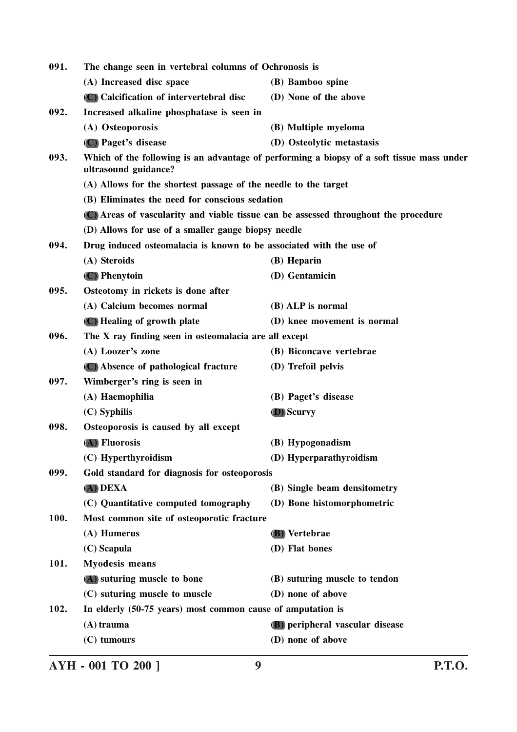| 091. | The change seen in vertebral columns of Ochronosis is                               |                                                                                           |
|------|-------------------------------------------------------------------------------------|-------------------------------------------------------------------------------------------|
|      | (A) Increased disc space                                                            | (B) Bamboo spine                                                                          |
|      | (C) Calcification of intervertebral disc                                            | (D) None of the above                                                                     |
| 092. | Increased alkaline phosphatase is seen in                                           |                                                                                           |
|      | (A) Osteoporosis                                                                    | (B) Multiple myeloma                                                                      |
|      | (C) Paget's disease                                                                 | (D) Osteolytic metastasis                                                                 |
| 093. | ultrasound guidance?                                                                | Which of the following is an advantage of performing a biopsy of a soft tissue mass under |
|      | (A) Allows for the shortest passage of the needle to the target                     |                                                                                           |
|      | (B) Eliminates the need for conscious sedation                                      |                                                                                           |
|      | (C) Areas of vascularity and viable tissue can be assessed throughout the procedure |                                                                                           |
|      | (D) Allows for use of a smaller gauge biopsy needle                                 |                                                                                           |
| 094. | Drug induced osteomalacia is known to be associated with the use of                 |                                                                                           |
|      | (A) Steroids                                                                        | (B) Heparin                                                                               |
|      | (C) Phenytoin                                                                       | (D) Gentamicin                                                                            |
| 095. | Osteotomy in rickets is done after                                                  |                                                                                           |
|      | (A) Calcium becomes normal                                                          | (B) ALP is normal                                                                         |
|      | (C) Healing of growth plate                                                         | (D) knee movement is normal                                                               |
| 096. | The X ray finding seen in osteomalacia are all except                               |                                                                                           |
|      | (A) Loozer's zone                                                                   | (B) Biconcave vertebrae                                                                   |
|      | (C) Absence of pathological fracture                                                | (D) Trefoil pelvis                                                                        |
| 097. | Wimberger's ring is seen in                                                         |                                                                                           |
|      | (A) Haemophilia                                                                     | (B) Paget's disease                                                                       |
|      | (C) Syphilis                                                                        | <b>D</b> ) Scurvy                                                                         |
| 098. | Osteoporosis is caused by all except                                                |                                                                                           |
|      | (A) Fluorosis                                                                       | (B) Hypogonadism                                                                          |
|      | (C) Hyperthyroidism                                                                 | (D) Hyperparathyroidism                                                                   |
| 099. | Gold standard for diagnosis for osteoporosis                                        |                                                                                           |
|      | (A) DEXA                                                                            | (B) Single beam densitometry                                                              |
|      | (C) Quantitative computed tomography                                                | (D) Bone histomorphometric                                                                |
| 100. | Most common site of osteoporotic fracture                                           |                                                                                           |
|      | (A) Humerus                                                                         | <b>(B)</b> Vertebrae                                                                      |
|      | (C) Scapula                                                                         | (D) Flat bones                                                                            |
| 101. | <b>Myodesis means</b>                                                               |                                                                                           |
|      | (A) suturing muscle to bone                                                         | (B) suturing muscle to tendon                                                             |
|      | (C) suturing muscle to muscle                                                       | (D) none of above                                                                         |
| 102. | In elderly (50-75 years) most common cause of amputation is                         |                                                                                           |
|      | $(A)$ trauma                                                                        | (B) peripheral vascular disease                                                           |
|      | (C) tumours                                                                         | (D) none of above                                                                         |
|      |                                                                                     |                                                                                           |

**AYH - 001 TO 200 ] 9 P.T.O.**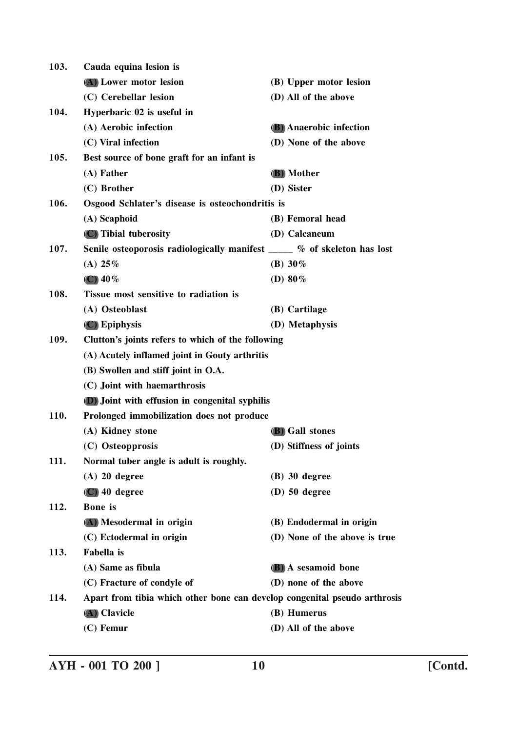| 103. | Cauda equina lesion is                                                    |                                |  |
|------|---------------------------------------------------------------------------|--------------------------------|--|
|      | (A) Lower motor lesion                                                    | (B) Upper motor lesion         |  |
|      | (C) Cerebellar lesion                                                     | (D) All of the above           |  |
| 104. | Hyperbaric 02 is useful in                                                |                                |  |
|      | (A) Aerobic infection                                                     | <b>(B)</b> Anaerobic infection |  |
|      | (C) Viral infection                                                       | (D) None of the above          |  |
| 105. | Best source of bone graft for an infant is                                |                                |  |
|      | $(A)$ Father                                                              | (B) Mother                     |  |
|      | (C) Brother                                                               | (D) Sister                     |  |
| 106. | Osgood Schlater's disease is osteochondritis is                           |                                |  |
|      | (A) Scaphoid                                                              | (B) Femoral head               |  |
|      | (C) Tibial tuberosity                                                     | (D) Calcaneum                  |  |
| 107. | Senile osteoporosis radiologically manifest _____ % of skeleton has lost  |                                |  |
|      | (A) $25\%$                                                                | (B) $30\%$                     |  |
|      | $\left(\mathbb{C}\right)$ 40%                                             | (D) $80\%$                     |  |
| 108. | Tissue most sensitive to radiation is                                     |                                |  |
|      | (A) Osteoblast                                                            | (B) Cartilage                  |  |
|      | $(C)$ Epiphysis                                                           | (D) Metaphysis                 |  |
| 109. | Clutton's joints refers to which of the following                         |                                |  |
|      | (A) Acutely inflamed joint in Gouty arthritis                             |                                |  |
|      | (B) Swollen and stiff joint in O.A.                                       |                                |  |
|      | (C) Joint with haemarthrosis                                              |                                |  |
|      | (D) Joint with effusion in congenital syphilis                            |                                |  |
| 110. | Prolonged immobilization does not produce                                 |                                |  |
|      | (A) Kidney stone                                                          | <b>(B)</b> Gall stones         |  |
|      | (C) Osteopprosis                                                          | (D) Stiffness of joints        |  |
| 111. | Normal tuber angle is adult is roughly.                                   |                                |  |
|      | $(A)$ 20 degree                                                           | $(B)$ 30 degree                |  |
|      | $(C)$ 40 degree                                                           | $(D)$ 50 degree                |  |
| 112. | <b>Bone</b> is                                                            |                                |  |
|      | (A) Mesodermal in origin                                                  | (B) Endodermal in origin       |  |
|      | (C) Ectodermal in origin                                                  | (D) None of the above is true  |  |
| 113. | <b>Fabella</b> is                                                         |                                |  |
|      | (A) Same as fibula                                                        | (B) A sesamoid bone            |  |
|      | (C) Fracture of condyle of                                                | (D) none of the above          |  |
| 114. | Apart from tibia which other bone can develop congenital pseudo arthrosis |                                |  |
|      | (A) Clavicle                                                              | (B) Humerus                    |  |
|      | $(C)$ Femur                                                               | (D) All of the above           |  |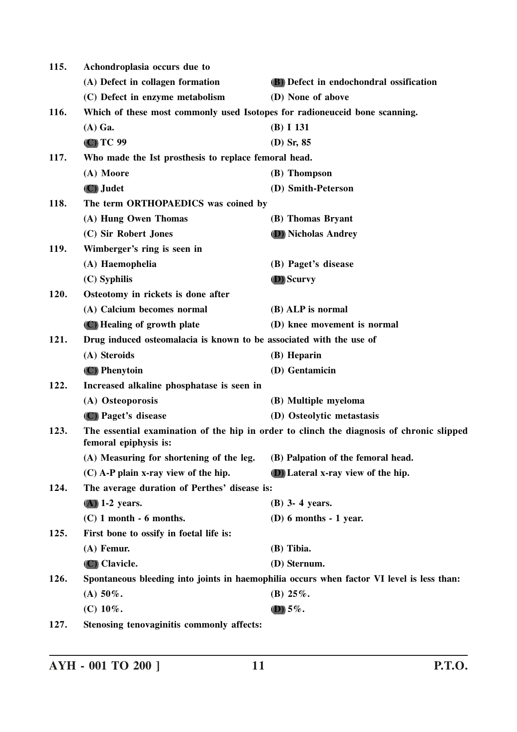| 115. | Achondroplasia occurs due to                                               |                                                                                           |
|------|----------------------------------------------------------------------------|-------------------------------------------------------------------------------------------|
|      | (A) Defect in collagen formation                                           | (B) Defect in endochondral ossification                                                   |
|      | (C) Defect in enzyme metabolism                                            | (D) None of above                                                                         |
| 116. | Which of these most commonly used Isotopes for radioneuceid bone scanning. |                                                                                           |
|      | $(A)$ Ga.                                                                  | (B) I 131                                                                                 |
|      | (C) TC 99                                                                  | $(D)$ Sr, 85                                                                              |
| 117. | Who made the Ist prosthesis to replace femoral head.                       |                                                                                           |
|      | (A) Moore                                                                  | (B) Thompson                                                                              |
|      | (C) Judet                                                                  | (D) Smith-Peterson                                                                        |
| 118. | The term ORTHOPAEDICS was coined by                                        |                                                                                           |
|      | (A) Hung Owen Thomas                                                       | (B) Thomas Bryant                                                                         |
|      | (C) Sir Robert Jones                                                       | (D) Nicholas Andrey                                                                       |
| 119. | Wimberger's ring is seen in                                                |                                                                                           |
|      | (A) Haemophelia                                                            | (B) Paget's disease                                                                       |
|      | $(C)$ Syphilis                                                             | <b>D</b> ) Scurvy                                                                         |
| 120. | Osteotomy in rickets is done after                                         |                                                                                           |
|      | (A) Calcium becomes normal                                                 | (B) ALP is normal                                                                         |
|      | (C) Healing of growth plate                                                | (D) knee movement is normal                                                               |
| 121. | Drug induced osteomalacia is known to be associated with the use of        |                                                                                           |
|      | (A) Steroids                                                               | (B) Heparin                                                                               |
|      | (C) Phenytoin                                                              | (D) Gentamicin                                                                            |
| 122. | Increased alkaline phosphatase is seen in                                  |                                                                                           |
|      | (A) Osteoporosis                                                           | (B) Multiple myeloma                                                                      |
|      | (C) Paget's disease                                                        | (D) Osteolytic metastasis                                                                 |
| 123. | femoral epiphysis is:                                                      | The essential examination of the hip in order to clinch the diagnosis of chronic slipped  |
|      | (A) Measuring for shortening of the leg.                                   | (B) Palpation of the femoral head.                                                        |
|      | $(C)$ A-P plain x-ray view of the hip.                                     | (D) Lateral x-ray view of the hip.                                                        |
| 124. | The average duration of Perthes' disease is:                               |                                                                                           |
|      | $(A)$ 1-2 years.                                                           | (B) 3- 4 years.                                                                           |
|      | $(C)$ 1 month $-6$ months.                                                 | $(D)$ 6 months - 1 year.                                                                  |
| 125. | First bone to ossify in foetal life is:                                    |                                                                                           |
|      | (A) Femur.                                                                 | (B) Tibia.                                                                                |
|      | (C) Clavicle.                                                              | (D) Sternum.                                                                              |
| 126. |                                                                            | Spontaneous bleeding into joints in haemophilia occurs when factor VI level is less than: |
|      | (A) $50\%$ .                                                               | (B) $25\%$ .                                                                              |
|      | (C) $10\%$ .                                                               | $(D)$ 5%.                                                                                 |
| 127. | Stenosing tenovaginitis commonly affects:                                  |                                                                                           |
|      |                                                                            |                                                                                           |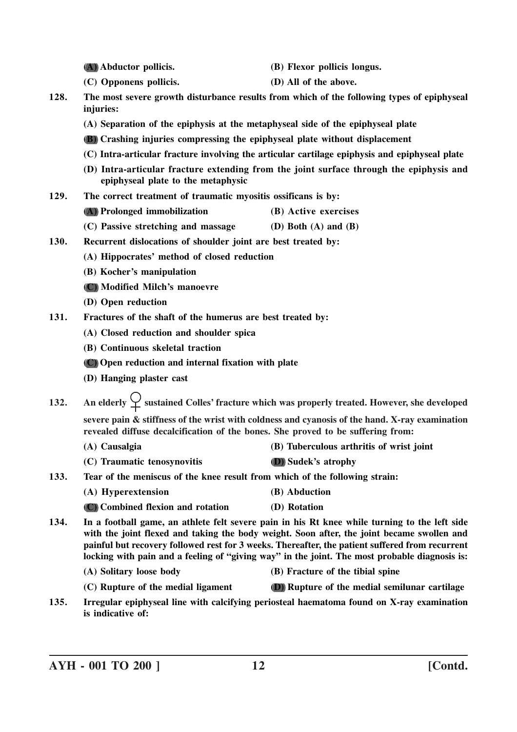- **(A) Abductor pollicis. (B) Flexor pollicis longus.**
- **(C) Opponens pollicis. (D) All of the above.**
- **128. The most severe growth disturbance results from which of the following types of epiphyseal injuries:**
	- **(A) Separation of the epiphysis at the metaphyseal side of the epiphyseal plate**
	- **(B) Crashing injuries compressing the epiphyseal plate without displacement**
	- **(C) Intra-articular fracture involving the articular cartilage epiphysis and epiphyseal plate**
	- **(D) Intra-articular fracture extending from the joint surface through the epiphysis and epiphyseal plate to the metaphysic**
- **129. The correct treatment of traumatic myositis ossificans is by:**
	- **(A) Prolonged immobilization (B) Active exercises**
	- **(C) Passive stretching and massage (D) Both (A) and (B)**
- **130. Recurrent dislocations of shoulder joint are best treated by:**
	- **(A) Hippocrates' method of closed reduction**
	- **(B) Kocher's manipulation**
	- **(C) Modified Milch's manoevre**
	- **(D) Open reduction**
- **131. Fractures of the shaft of the humerus are best treated by:**
	- **(A) Closed reduction and shoulder spica**
	- **(B) Continuous skeletal traction**
	- **(C) Open reduction and internal fixation with plate**
	- **(D) Hanging plaster cast**
- **132.** An elderly  $\overleftrightarrow{\phantom{\text{a}}\smile}$  sustained Colles' fracture which was properly treated. However, she developed **severe pain & stiffness of the wrist with coldness and cyanosis of the hand. X-ray examination revealed diffuse decalcification of the bones. She proved to be suffering from:**
	- **(A) Causalgia (B) Tuberculous arthritis of wrist joint**
	- **(C) Traumatic tenosynovitis (D) Sudek's atrophy**
- **133. Tear of the meniscus of the knee result from which of the following strain:**
	- **(A) Hyperextension (B) Abduction**
	- **(C) Combined flexion and rotation (D) Rotation**
- **134. In a football game, an athlete felt severe pain in his Rt knee while turning to the left side with the joint flexed and taking the body weight. Soon after, the joint became swollen and painful but recovery followed rest for 3 weeks. Thereafter, the patient suffered from recurrent locking with pain and a feeling of "giving way" in the joint. The most probable diagnosis is:**
	- **(A) Solitary loose body (B) Fracture of the tibial spine**
	- **(C) Rupture of the medial ligament (D) Rupture of the medial semilunar cartilage**
- **135. Irregular epiphyseal line with calcifying periosteal haematoma found on X-ray examination is indicative of:**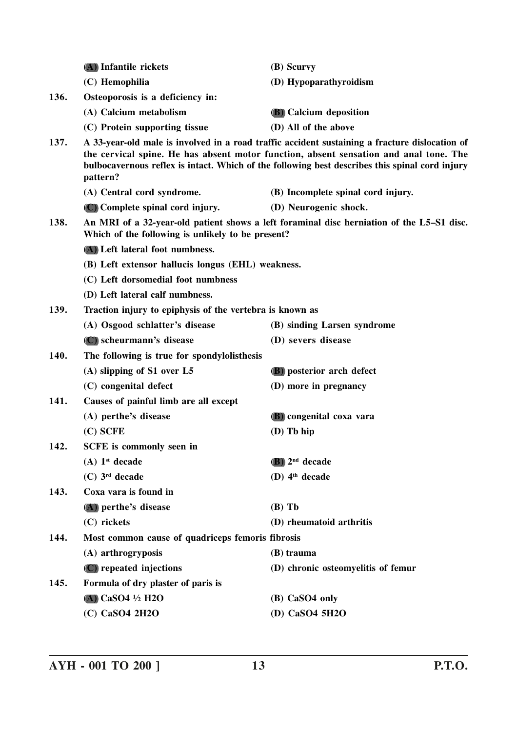|      | (A) Infantile rickets                                                                                                                          | (B) Scurvy                                                                                                                                                                                                                                                                                |  |
|------|------------------------------------------------------------------------------------------------------------------------------------------------|-------------------------------------------------------------------------------------------------------------------------------------------------------------------------------------------------------------------------------------------------------------------------------------------|--|
|      | (C) Hemophilia                                                                                                                                 | (D) Hypoparathyroidism                                                                                                                                                                                                                                                                    |  |
| 136. | Osteoporosis is a deficiency in:                                                                                                               |                                                                                                                                                                                                                                                                                           |  |
|      | (A) Calcium metabolism                                                                                                                         | <b>(B)</b> Calcium deposition                                                                                                                                                                                                                                                             |  |
|      | (C) Protein supporting tissue                                                                                                                  | (D) All of the above                                                                                                                                                                                                                                                                      |  |
| 137. | pattern?                                                                                                                                       | A 33-year-old male is involved in a road traffic accident sustaining a fracture dislocation of<br>the cervical spine. He has absent motor function, absent sensation and anal tone. The<br>bulbocavernous reflex is intact. Which of the following best describes this spinal cord injury |  |
|      | (A) Central cord syndrome.                                                                                                                     | (B) Incomplete spinal cord injury.                                                                                                                                                                                                                                                        |  |
|      | (C) Complete spinal cord injury.                                                                                                               | (D) Neurogenic shock.                                                                                                                                                                                                                                                                     |  |
| 138. | An MRI of a 32-year-old patient shows a left foraminal disc herniation of the L5-S1 disc.<br>Which of the following is unlikely to be present? |                                                                                                                                                                                                                                                                                           |  |
|      | (A) Left lateral foot numbness.                                                                                                                |                                                                                                                                                                                                                                                                                           |  |
|      | (B) Left extensor hallucis longus (EHL) weakness.<br>(C) Left dorsomedial foot numbness                                                        |                                                                                                                                                                                                                                                                                           |  |
|      |                                                                                                                                                |                                                                                                                                                                                                                                                                                           |  |
|      | (D) Left lateral calf numbness.                                                                                                                |                                                                                                                                                                                                                                                                                           |  |
| 139. | Traction injury to epiphysis of the vertebra is known as                                                                                       |                                                                                                                                                                                                                                                                                           |  |
|      | (A) Osgood schlatter's disease                                                                                                                 | (B) sinding Larsen syndrome                                                                                                                                                                                                                                                               |  |
|      | (C) scheurmann's disease                                                                                                                       | (D) severs disease                                                                                                                                                                                                                                                                        |  |
| 140. | The following is true for spondylolisthesis                                                                                                    |                                                                                                                                                                                                                                                                                           |  |
|      | $(A)$ slipping of S1 over L5                                                                                                                   | (B) posterior arch defect                                                                                                                                                                                                                                                                 |  |
|      | (C) congenital defect                                                                                                                          | (D) more in pregnancy                                                                                                                                                                                                                                                                     |  |
| 141. | Causes of painful limb are all except                                                                                                          |                                                                                                                                                                                                                                                                                           |  |
|      | (A) perthe's disease                                                                                                                           | (B) congenital coxa vara                                                                                                                                                                                                                                                                  |  |
|      | $(C)$ SCFE                                                                                                                                     | $(D)$ Tb hip                                                                                                                                                                                                                                                                              |  |
| 142. | SCFE is commonly seen in                                                                                                                       |                                                                                                                                                                                                                                                                                           |  |
|      | $(A)$ 1 <sup>st</sup> decade                                                                                                                   | $(B)$ 2 <sup>nd</sup> decade                                                                                                                                                                                                                                                              |  |
|      | $(C)$ 3 <sup>rd</sup> decade                                                                                                                   | (D) $4th decade$                                                                                                                                                                                                                                                                          |  |
| 143. | Coxa vara is found in                                                                                                                          |                                                                                                                                                                                                                                                                                           |  |
|      | (A) perthe's disease                                                                                                                           | $(B)$ Tb                                                                                                                                                                                                                                                                                  |  |
|      | (C) rickets                                                                                                                                    | (D) rheumatoid arthritis                                                                                                                                                                                                                                                                  |  |
| 144. | Most common cause of quadriceps femoris fibrosis                                                                                               |                                                                                                                                                                                                                                                                                           |  |
|      | (A) arthrogryposis                                                                                                                             | (B) trauma                                                                                                                                                                                                                                                                                |  |
|      | (C) repeated injections                                                                                                                        | (D) chronic osteomyelitis of femur                                                                                                                                                                                                                                                        |  |
| 145. | Formula of dry plaster of paris is                                                                                                             |                                                                                                                                                                                                                                                                                           |  |
|      | (A) CaSO4 $\frac{1}{2}$ H2O                                                                                                                    | (B) CaSO4 only                                                                                                                                                                                                                                                                            |  |
|      | (C) CaSO4 2H2O                                                                                                                                 | (D) CaSO4 5H2O                                                                                                                                                                                                                                                                            |  |
|      |                                                                                                                                                |                                                                                                                                                                                                                                                                                           |  |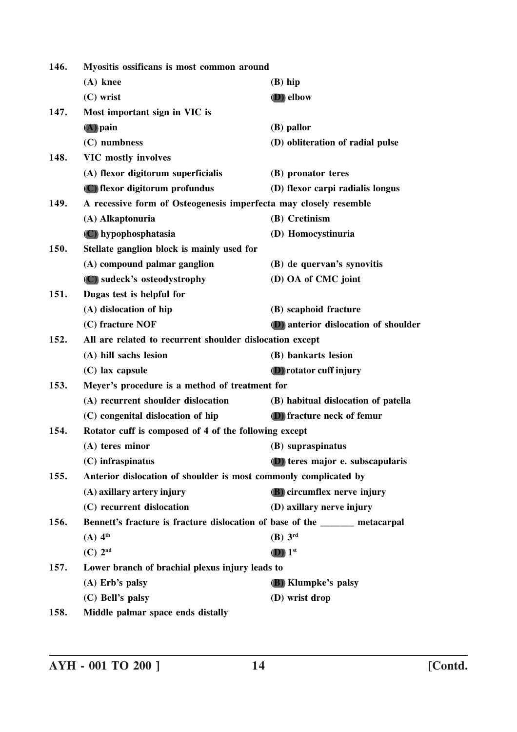| 146.<br>Myositis ossificans is most common around |                                                                              |                                      |  |
|---------------------------------------------------|------------------------------------------------------------------------------|--------------------------------------|--|
|                                                   | $(A)$ knee                                                                   | $(B)$ hip                            |  |
|                                                   | $(C)$ wrist                                                                  | <b>D</b> ) elbow                     |  |
| 147.                                              | Most important sign in VIC is                                                |                                      |  |
|                                                   | $(A)$ pain                                                                   | (B) pallor                           |  |
|                                                   | (C) numbness                                                                 | (D) obliteration of radial pulse     |  |
| 148.                                              | <b>VIC mostly involves</b>                                                   |                                      |  |
|                                                   | (A) flexor digitorum superficialis                                           | (B) pronator teres                   |  |
|                                                   | (C) flexor digitorum profundus                                               | (D) flexor carpi radialis longus     |  |
| 149.                                              | A recessive form of Osteogenesis imperfecta may closely resemble             |                                      |  |
|                                                   | (A) Alkaptonuria                                                             | (B) Cretinism                        |  |
|                                                   | (C) hypophosphatasia                                                         | (D) Homocystinuria                   |  |
| 150.                                              | Stellate ganglion block is mainly used for                                   |                                      |  |
|                                                   | (A) compound palmar ganglion                                                 | (B) de quervan's synovitis           |  |
|                                                   | (C) sudeck's osteodystrophy                                                  | (D) OA of CMC joint                  |  |
| 151.                                              | Dugas test is helpful for                                                    |                                      |  |
|                                                   | (A) dislocation of hip                                                       | (B) scaphoid fracture                |  |
|                                                   | (C) fracture NOF                                                             | (D) anterior dislocation of shoulder |  |
| 152.                                              | All are related to recurrent shoulder dislocation except                     |                                      |  |
|                                                   | (A) hill sachs lesion                                                        | (B) bankarts lesion                  |  |
|                                                   | $(C)$ lax capsule                                                            | <b>(D)</b> rotator cuff injury       |  |
| 153.                                              | Meyer's procedure is a method of treatment for                               |                                      |  |
|                                                   | (A) recurrent shoulder dislocation                                           | (B) habitual dislocation of patella  |  |
|                                                   | (C) congenital dislocation of hip                                            | (D) fracture neck of femur           |  |
| 154.                                              | Rotator cuff is composed of 4 of the following except                        |                                      |  |
|                                                   | (A) teres minor                                                              | (B) supraspinatus                    |  |
|                                                   | (C) infraspinatus                                                            | (D) teres major e. subscapularis     |  |
| 155.                                              | Anterior dislocation of shoulder is most commonly complicated by             |                                      |  |
|                                                   | (A) axillary artery injury                                                   | (B) circumflex nerve injury          |  |
|                                                   | (C) recurrent dislocation                                                    | (D) axillary nerve injury            |  |
| 156.                                              | Bennett's fracture is fracture dislocation of base of the _______ metacarpal |                                      |  |
|                                                   | $(A)$ 4 <sup>th</sup>                                                        | $(B)$ 3rd                            |  |
|                                                   | $(C)$ 2 <sup>nd</sup>                                                        | $(D)$ 1st                            |  |
| 157.                                              | Lower branch of brachial plexus injury leads to                              |                                      |  |
|                                                   | $(A)$ Erb's palsy                                                            | (B) Klumpke's palsy                  |  |
|                                                   | (C) Bell's palsy                                                             | (D) wrist drop                       |  |
| 158.                                              | Middle palmar space ends distally                                            |                                      |  |

**AYH - 001 TO 200 ] 14 [Contd.**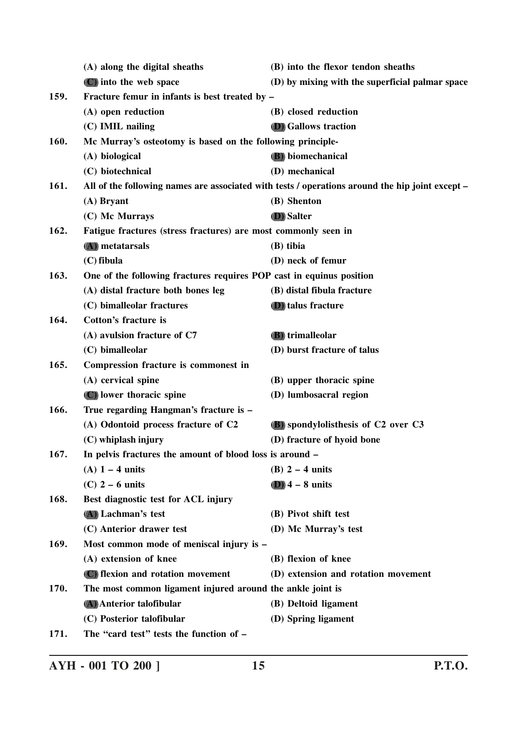|                                                                        | (A) along the digital sheaths                                        | (B) into the flexor tendon sheaths                                                              |  |
|------------------------------------------------------------------------|----------------------------------------------------------------------|-------------------------------------------------------------------------------------------------|--|
|                                                                        | (C) into the web space                                               | (D) by mixing with the superficial palmar space                                                 |  |
| 159.                                                                   | Fracture femur in infants is best treated by –                       |                                                                                                 |  |
|                                                                        | (A) open reduction                                                   | (B) closed reduction                                                                            |  |
|                                                                        | (C) IMIL nailing                                                     | <b>(D)</b> Gallows traction                                                                     |  |
| 160.                                                                   | Mc Murray's osteotomy is based on the following principle-           |                                                                                                 |  |
|                                                                        | (A) biological                                                       | (B) biomechanical                                                                               |  |
|                                                                        | (C) biotechnical                                                     | (D) mechanical                                                                                  |  |
| 161.                                                                   |                                                                      | All of the following names are associated with tests / operations around the hip joint except - |  |
|                                                                        | $(A)$ Bryant                                                         | (B) Shenton                                                                                     |  |
|                                                                        | (C) Mc Murrays                                                       | <b>D</b> ) Salter                                                                               |  |
| 162.<br>Fatigue fractures (stress fractures) are most commonly seen in |                                                                      |                                                                                                 |  |
|                                                                        | (A) metatarsals                                                      | (B) tibia                                                                                       |  |
|                                                                        | $(C)$ fibula                                                         | (D) neck of femur                                                                               |  |
| 163.                                                                   | One of the following fractures requires POP cast in equinus position |                                                                                                 |  |
|                                                                        | (A) distal fracture both bones leg                                   | (B) distal fibula fracture                                                                      |  |
|                                                                        | (C) bimalleolar fractures                                            | <b>(D)</b> talus fracture                                                                       |  |
| 164.                                                                   | <b>Cotton's fracture is</b>                                          |                                                                                                 |  |
|                                                                        | (A) avulsion fracture of C7                                          | <b>(B)</b> trimalleolar                                                                         |  |
|                                                                        | (C) bimalleolar                                                      | (D) burst fracture of talus                                                                     |  |
| 165.                                                                   | Compression fracture is commonest in                                 |                                                                                                 |  |
|                                                                        | (A) cervical spine                                                   | (B) upper thoracic spine                                                                        |  |
|                                                                        | (C) lower thoracic spine                                             | (D) lumbosacral region                                                                          |  |
| 166.                                                                   | True regarding Hangman's fracture is -                               |                                                                                                 |  |
|                                                                        | (A) Odontoid process fracture of C2                                  | (B) spondylolisthesis of C2 over C3                                                             |  |
|                                                                        | (C) whiplash injury                                                  | (D) fracture of hyoid bone                                                                      |  |
| 167.                                                                   | In pelvis fractures the amount of blood loss is around -             |                                                                                                 |  |
|                                                                        | $(A)$ 1 – 4 units                                                    | (B) $2 - 4$ units                                                                               |  |
|                                                                        | $(C)$ 2 – 6 units                                                    | $(D)$ 4 – 8 units                                                                               |  |
| 168.                                                                   | Best diagnostic test for ACL injury                                  |                                                                                                 |  |
|                                                                        | (A) Lachman's test                                                   | (B) Pivot shift test                                                                            |  |
|                                                                        | (C) Anterior drawer test                                             | (D) Mc Murray's test                                                                            |  |
| 169.                                                                   | Most common mode of meniscal injury is -                             |                                                                                                 |  |
|                                                                        | (A) extension of knee                                                | (B) flexion of knee                                                                             |  |
|                                                                        | (C) flexion and rotation movement                                    | (D) extension and rotation movement                                                             |  |
| 170.                                                                   | The most common ligament injured around the ankle joint is           |                                                                                                 |  |
|                                                                        | (A) Anterior talofibular                                             | (B) Deltoid ligament                                                                            |  |
|                                                                        | (C) Posterior talofibular                                            | (D) Spring ligament                                                                             |  |
| 171.                                                                   | The "card test" tests the function of -                              |                                                                                                 |  |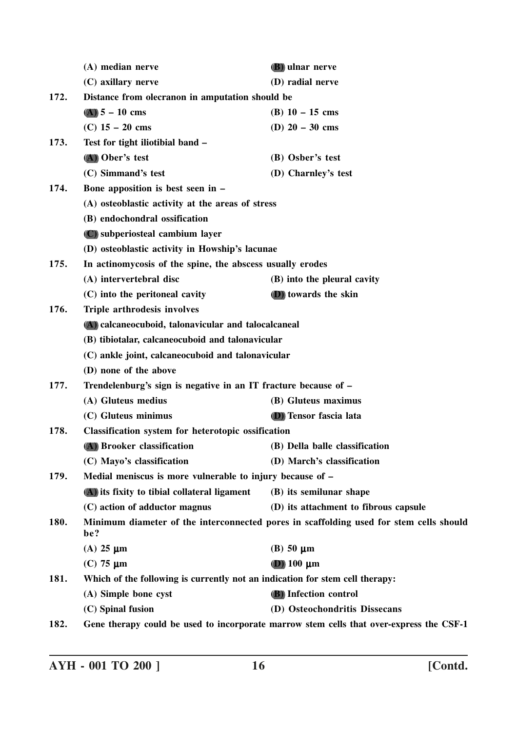|                                                                   | (A) median nerve                                                                              | <b>(B)</b> ulnar nerve                                                                  |
|-------------------------------------------------------------------|-----------------------------------------------------------------------------------------------|-----------------------------------------------------------------------------------------|
|                                                                   | (C) axillary nerve                                                                            | (D) radial nerve                                                                        |
| 172.                                                              | Distance from olecranon in amputation should be                                               |                                                                                         |
|                                                                   | $(A) 5 - 10$ cms                                                                              | (B) $10 - 15$ cms                                                                       |
|                                                                   | (C) $15 - 20$ cms                                                                             | (D) $20 - 30$ cms                                                                       |
| 173.                                                              | Test for tight iliotibial band -                                                              |                                                                                         |
|                                                                   | (A) Ober's test                                                                               | (B) Osber's test                                                                        |
|                                                                   | (C) Simmand's test                                                                            | (D) Charnley's test                                                                     |
| 174.                                                              | Bone apposition is best seen in -                                                             |                                                                                         |
|                                                                   | (A) osteoblastic activity at the areas of stress                                              |                                                                                         |
|                                                                   | (B) endochondral ossification                                                                 |                                                                                         |
|                                                                   | (C) subperiosteal cambium layer                                                               |                                                                                         |
|                                                                   | (D) osteoblastic activity in Howship's lacunae                                                |                                                                                         |
| In actinomycosis of the spine, the abscess usually erodes<br>175. |                                                                                               |                                                                                         |
|                                                                   | (A) intervertebral disc                                                                       | (B) into the pleural cavity                                                             |
|                                                                   | (C) into the peritoneal cavity                                                                | (D) towards the skin                                                                    |
| 176.                                                              | Triple arthrodesis involves                                                                   |                                                                                         |
|                                                                   | (A) calcaneocuboid, talonavicular and talocalcaneal                                           |                                                                                         |
|                                                                   | (B) tibiotalar, calcaneocuboid and talonavicular                                              |                                                                                         |
|                                                                   | (C) ankle joint, calcaneocuboid and talonavicular                                             |                                                                                         |
|                                                                   | (D) none of the above                                                                         |                                                                                         |
| 177.                                                              | Trendelenburg's sign is negative in an IT fracture because of -                               |                                                                                         |
|                                                                   | (A) Gluteus medius                                                                            | (B) Gluteus maximus                                                                     |
|                                                                   | (C) Gluteus minimus                                                                           | (D) Tensor fascia lata                                                                  |
| 178.                                                              | <b>Classification system for heterotopic ossification</b>                                     |                                                                                         |
|                                                                   | (A) Brooker classification                                                                    | (B) Della balle classification                                                          |
|                                                                   | (C) Mayo's classification                                                                     | (D) March's classification                                                              |
| Medial meniscus is more vulnerable to injury because of -<br>179. |                                                                                               |                                                                                         |
|                                                                   | (A) its fixity to tibial collateral ligament                                                  | (B) its semilunar shape                                                                 |
|                                                                   | (C) action of adductor magnus                                                                 | (D) its attachment to fibrous capsule                                                   |
| 180.                                                              | Minimum diameter of the interconnected pores in scaffolding used for stem cells should<br>be? |                                                                                         |
|                                                                   | $(A)$ 25 $\mu$ m                                                                              | $(B)$ 50 $\mu$ m                                                                        |
|                                                                   | $(C)$ 75 $\mu$ m                                                                              | $(D)$ 100 $\mu$ m                                                                       |
| 181.                                                              | Which of the following is currently not an indication for stem cell therapy:                  |                                                                                         |
|                                                                   | (A) Simple bone cyst                                                                          | (B) Infection control                                                                   |
|                                                                   | (C) Spinal fusion                                                                             | (D) Osteochondritis Dissecans                                                           |
| 182.                                                              |                                                                                               | Gene therapy could be used to incorporate marrow stem cells that over-express the CSF-1 |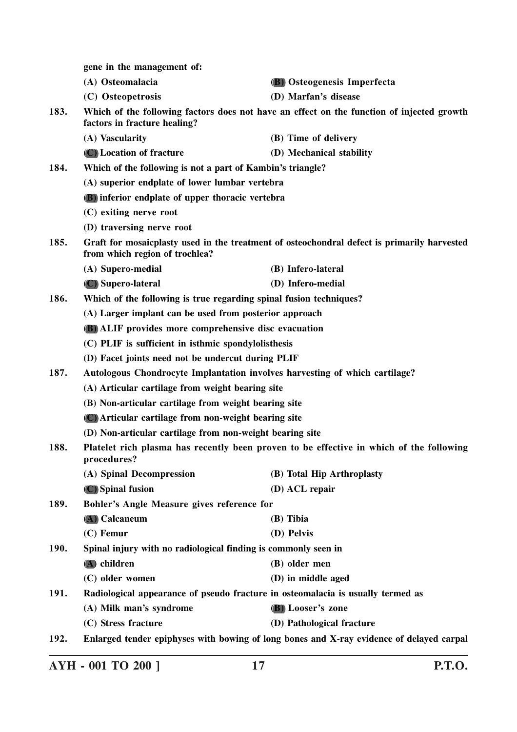|                                                                                                                | gene in the management of:                                                                                                    |                                                                                          |
|----------------------------------------------------------------------------------------------------------------|-------------------------------------------------------------------------------------------------------------------------------|------------------------------------------------------------------------------------------|
|                                                                                                                | (A) Osteomalacia                                                                                                              | (B) Osteogenesis Imperfecta                                                              |
|                                                                                                                | (C) Osteopetrosis                                                                                                             | (D) Marfan's disease                                                                     |
| 183.                                                                                                           | Which of the following factors does not have an effect on the function of injected growth<br>factors in fracture healing?     |                                                                                          |
|                                                                                                                | (A) Vascularity                                                                                                               | (B) Time of delivery                                                                     |
|                                                                                                                | (C) Location of fracture                                                                                                      | (D) Mechanical stability                                                                 |
| 184.                                                                                                           | Which of the following is not a part of Kambin's triangle?                                                                    |                                                                                          |
|                                                                                                                | (A) superior endplate of lower lumbar vertebra                                                                                |                                                                                          |
|                                                                                                                | <b>(B)</b> inferior endplate of upper thoracic vertebra                                                                       |                                                                                          |
|                                                                                                                | (C) exiting nerve root                                                                                                        |                                                                                          |
|                                                                                                                | (D) traversing nerve root                                                                                                     |                                                                                          |
| 185.                                                                                                           | Graft for mosaicplasty used in the treatment of osteochondral defect is primarily harvested<br>from which region of trochlea? |                                                                                          |
|                                                                                                                | (A) Supero-medial                                                                                                             | (B) Infero-lateral                                                                       |
|                                                                                                                | (C) Supero-lateral                                                                                                            | (D) Infero-medial                                                                        |
| 186.                                                                                                           | Which of the following is true regarding spinal fusion techniques?                                                            |                                                                                          |
|                                                                                                                | (A) Larger implant can be used from posterior approach                                                                        |                                                                                          |
|                                                                                                                | <b>(B)</b> ALIF provides more comprehensive disc evacuation                                                                   |                                                                                          |
|                                                                                                                | (C) PLIF is sufficient in isthmic spondylolisthesis                                                                           |                                                                                          |
|                                                                                                                | (D) Facet joints need not be undercut during PLIF                                                                             |                                                                                          |
| 187.                                                                                                           | Autologous Chondrocyte Implantation involves harvesting of which cartilage?                                                   |                                                                                          |
|                                                                                                                | (A) Articular cartilage from weight bearing site                                                                              |                                                                                          |
|                                                                                                                | (B) Non-articular cartilage from weight bearing site                                                                          |                                                                                          |
|                                                                                                                | (C) Articular cartilage from non-weight bearing site                                                                          |                                                                                          |
|                                                                                                                | (D) Non-articular cartilage from non-weight bearing site                                                                      |                                                                                          |
| Platelet rich plasma has recently been proven to be effective in which of the following<br>188.<br>procedures? |                                                                                                                               |                                                                                          |
|                                                                                                                | (A) Spinal Decompression                                                                                                      | (B) Total Hip Arthroplasty                                                               |
|                                                                                                                | (C) Spinal fusion                                                                                                             | (D) ACL repair                                                                           |
| 189.                                                                                                           | Bohler's Angle Measure gives reference for                                                                                    |                                                                                          |
|                                                                                                                | (A) Calcaneum                                                                                                                 | (B) Tibia                                                                                |
|                                                                                                                | $(C)$ Femur                                                                                                                   | (D) Pelvis                                                                               |
| Spinal injury with no radiological finding is commonly seen in<br>190.                                         |                                                                                                                               |                                                                                          |
|                                                                                                                | (A) children                                                                                                                  | (B) older men                                                                            |
|                                                                                                                | (C) older women                                                                                                               | (D) in middle aged                                                                       |
| <b>191.</b>                                                                                                    | Radiological appearance of pseudo fracture in osteomalacia is usually termed as                                               |                                                                                          |
|                                                                                                                | (A) Milk man's syndrome                                                                                                       | (B) Looser's zone                                                                        |
|                                                                                                                | (C) Stress fracture                                                                                                           | (D) Pathological fracture                                                                |
| 192.                                                                                                           |                                                                                                                               | Enlarged tender epiphyses with bowing of long bones and X-ray evidence of delayed carpal |

**AYH - 001 TO 200 ] 17 P.T.O.**